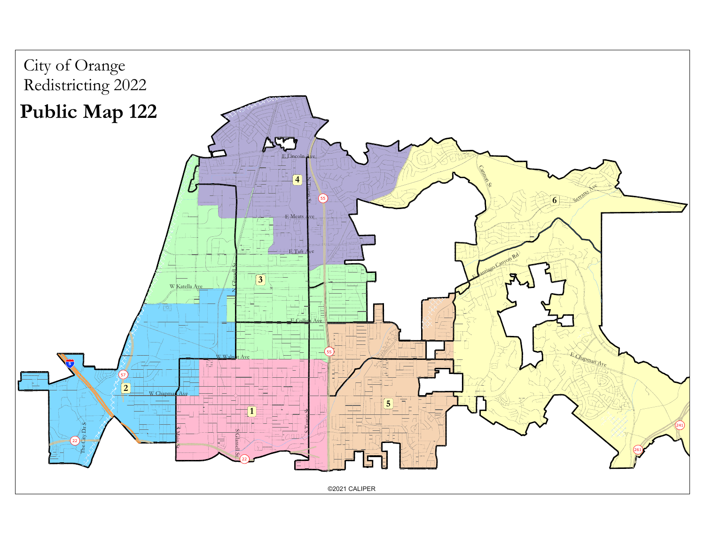